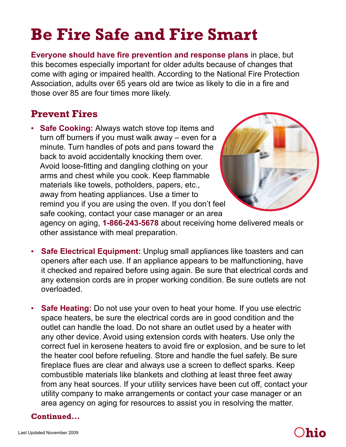# **Be Fire Safe and Fire Smart**

**Everyone should have fire prevention and response plans** in place, but this becomes especially important for older adults because of changes that come with aging or impaired health. According to the National Fire Protection Association, adults over 65 years old are twice as likely to die in a fire and those over 85 are four times more likely.

## **Prevent Fires**

▪ **Safe Cooking:** Always watch stove top items and turn off burners if you must walk away – even for a minute. Turn handles of pots and pans toward the back to avoid accidentally knocking them over. Avoid loose-fitting and dangling clothing on your arms and chest while you cook. Keep flammable materials like towels, potholders, papers, etc., away from heating appliances. Use a timer to remind you if you are using the oven. If you don't feel safe cooking, contact your case manager or an area



agency on aging, **1-866-243-5678** about receiving home delivered meals or other assistance with meal preparation.

- **Safe Electrical Equipment:** Unplug small appliances like toasters and can openers after each use. If an appliance appears to be malfunctioning, have it checked and repaired before using again. Be sure that electrical cords and any extension cords are in proper working condition. Be sure outlets are not overloaded.
- **Safe Heating:** Do not use your oven to heat your home. If you use electric space heaters, be sure the electrical cords are in good condition and the outlet can handle the load. Do not share an outlet used by a heater with any other device. Avoid using extension cords with heaters. Use only the correct fuel in kerosene heaters to avoid fire or explosion, and be sure to let the heater cool before refueling. Store and handle the fuel safely. Be sure fireplace flues are clear and always use a screen to deflect sparks. Keep combustible materials like blankets and clothing at least three feet away from any heat sources. If your utility services have been cut off, contact your utility company to make arrangements or contact your case manager or an area agency on aging for resources to assist you in resolving the matter.

#### **Continued...**

# O**hio**